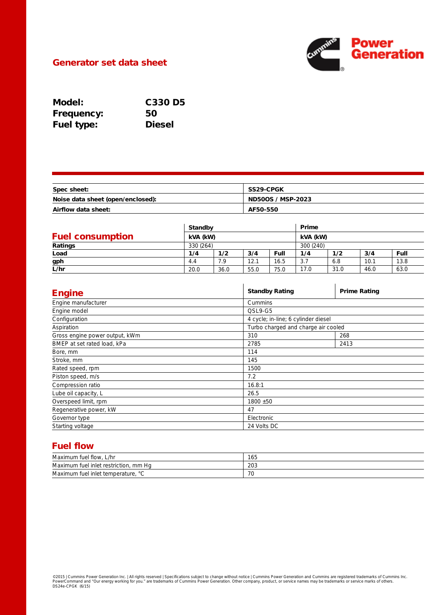

## Generator set data sheet

| Model:            | <b>C330 D5</b> |
|-------------------|----------------|
| <b>Frequency:</b> | 50             |
| <b>Fuel type:</b> | <b>Diesel</b>  |

| Spec sheet:                       | <b>SS29-CPGK</b>         |
|-----------------------------------|--------------------------|
| Noise data sheet (open/enclosed): | <b>ND50OS / MSP-2023</b> |
| Airflow data sheet:               | AF50-550                 |

|                         | <b>Standby</b> |           |      |      | Prime     |      |      |      |
|-------------------------|----------------|-----------|------|------|-----------|------|------|------|
| <b>Fuel consumption</b> |                | kVA (kW)  |      |      | kVA (kW)  |      |      |      |
| Ratings                 |                | 330 (264) |      |      | 300 (240) |      |      |      |
| Load                    | 1/4            | 1/2       | 3/4  | Full | 1/4       | 1/2  | 3/4  | Full |
| gph                     | 4.4            | 7.9       | 12.1 | 16.5 | 3.7       | 6.8  | 10.1 | 13.8 |
| L/hr                    | 20.0           | 36.0      | 55.0 | 75.0 | 17.0      | 31.0 | 46.0 | 63.0 |

| <b>Engine</b>                  | <b>Standby Rating</b>               | <b>Prime Rating</b> |  |  |
|--------------------------------|-------------------------------------|---------------------|--|--|
| Engine manufacturer            | Cummins                             |                     |  |  |
| Engine model                   | QSL9-G5                             |                     |  |  |
| Configuration                  | 4 cycle; in-line; 6 cylinder diesel |                     |  |  |
| Aspiration                     | Turbo charged and charge air cooled |                     |  |  |
| Gross engine power output, kWm | 310                                 | 268                 |  |  |
| BMEP at set rated load, kPa    | 2785                                | 2413                |  |  |
| Bore, mm                       | 114                                 |                     |  |  |
| Stroke, mm                     | 145                                 |                     |  |  |
| Rated speed, rpm               | 1500                                |                     |  |  |
| Piston speed, m/s              | 7.2                                 |                     |  |  |
| Compression ratio              | 16.8:1                              |                     |  |  |
| Lube oil capacity, L           | 26.5                                |                     |  |  |
| Overspeed limit, rpm           | $1800 + 50$                         |                     |  |  |
| Regenerative power, kW         | 47                                  |                     |  |  |
| Governor type                  | Electronic                          |                     |  |  |
| Starting voltage               | 24 Volts DC                         |                     |  |  |

# Fuel flow

| Maximum fuel flow.<br>. L/hr                 | 165       |
|----------------------------------------------|-----------|
| Maximum fuel inlet restriction, mm Hq        | 203       |
| Maximum fuel inlet temperature, °<br>$\circ$ | 70<br>7 U |

©2015 | Cummins Power Generation Inc. | All rights reserved | Specifications subject to change without notice | Cummins Power Generation and Cummins are registered trademarks of Cummins Inc.<br>PowerCommand and "Our energy wo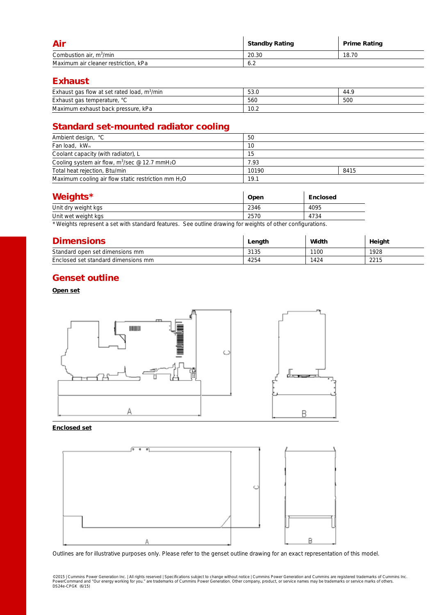| Air                                  | <b>Standby Rating</b> | <b>Prime Rating</b> |
|--------------------------------------|-----------------------|---------------------|
| Combustion air, $m^3/m$ in           | 20.30                 | 18.70               |
| Maximum air cleaner restriction, kPa | 6.2                   |                     |

## Exhaust

| Exhaust gas flow at set rated load, $m^3/m$ in | 53.0 | $-44.7$ |
|------------------------------------------------|------|---------|
| Exhaust gas temperature, °C                    | 560  | 500     |
| Maximum exhaust back pressure.<br>kPa          | 10.2 |         |

# Standard set-mounted radiator cooling

| Ambient design, °C                                                     | 50    |      |  |
|------------------------------------------------------------------------|-------|------|--|
| Fan load, kW <sub>m</sub>                                              | 10    |      |  |
| Coolant capacity (with radiator), L                                    | 15    |      |  |
| Cooling system air flow, m <sup>3</sup> /sec @ 12.7 mmH <sub>2</sub> O | 7.93  |      |  |
| Total heat rejection, Btu/min                                          | 10190 | 8415 |  |
| Maximum cooling air flow static restriction mm $H_2O$                  | 19.1  |      |  |

| <b>Weights*</b>     | Open | <b>Enclosed</b> |
|---------------------|------|-----------------|
| Unit dry weight kgs | 2346 | 4095            |
| Unit wet weight kgs | 2570 | 4734            |

\* Weights represent a set with standard features. See outline drawing for weights of other configurations.

| <b>Dimensions</b>                   | Length | Width | Height |
|-------------------------------------|--------|-------|--------|
| Standard open set dimensions mm     | 3135   | 1100  | 1928   |
| Enclosed set standard dimensions mm | 4254   | 1424  | 2215   |

## Genset outline

### Open set



#### Enclosed set



Outlines are for illustrative purposes only. Please refer to the genset outline drawing for an exact representation of this model.

©2015 | Cummins Power Generation Inc. | All rights reserved | Specifications subject to change without notice | Cummins Power Generation and Cummins are registered trademarks of Cummins Inc.<br>PowerCommand and "Our energy wo